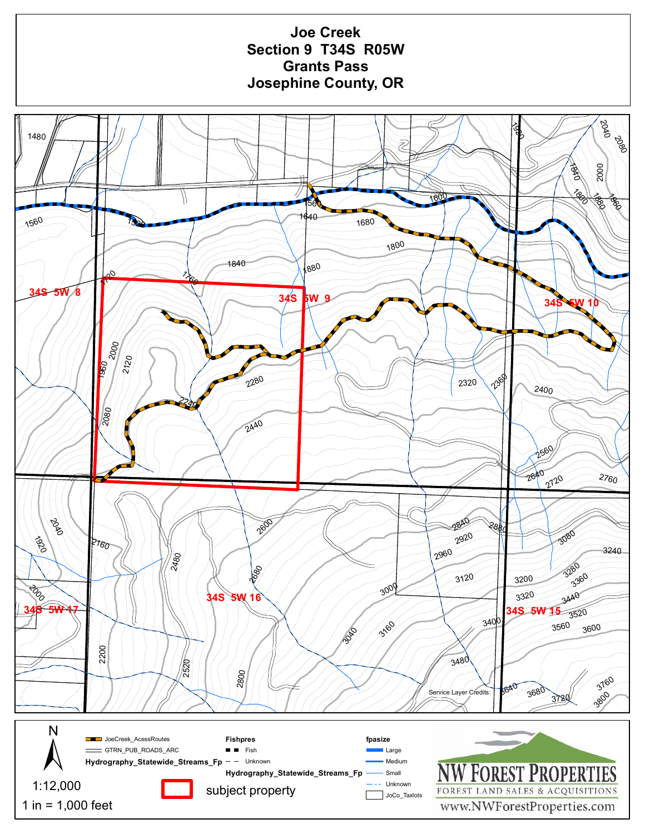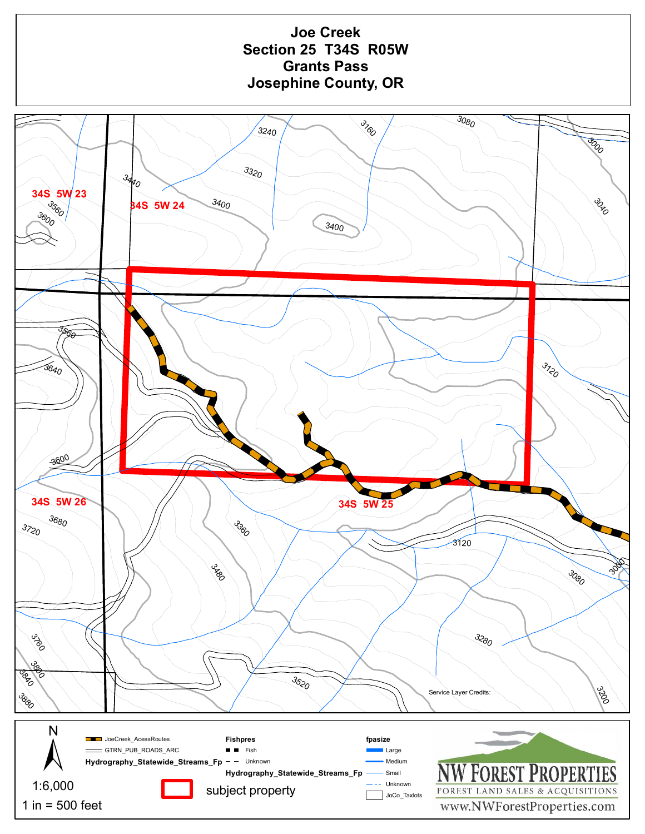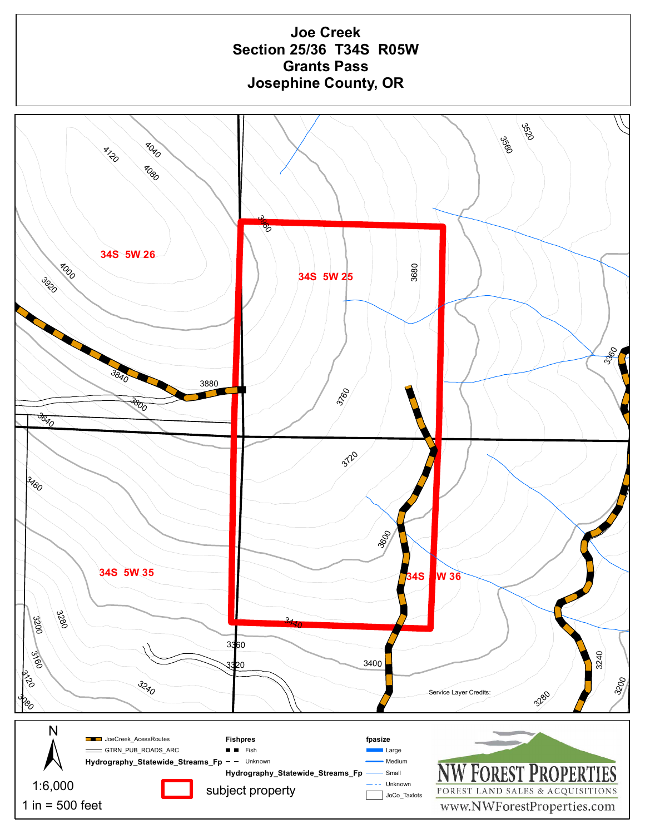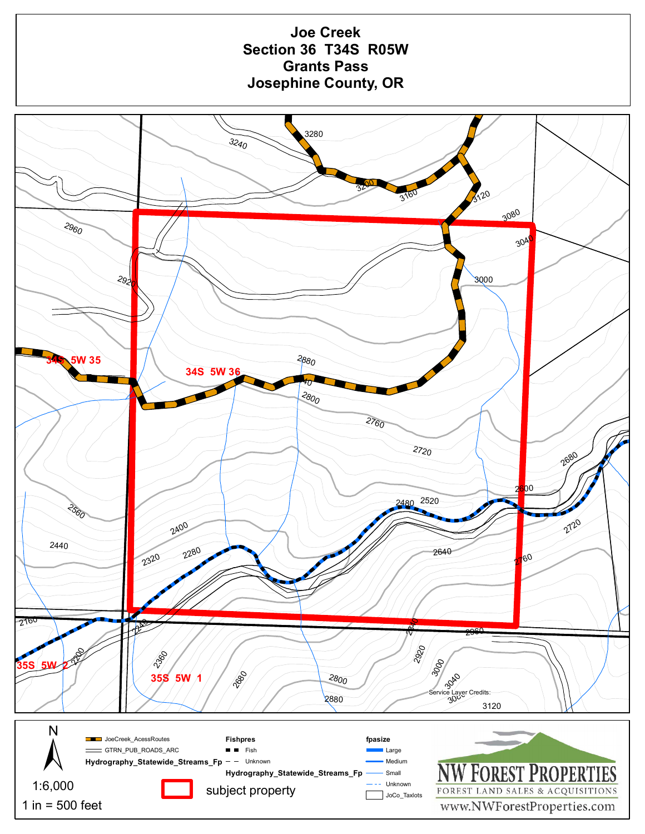